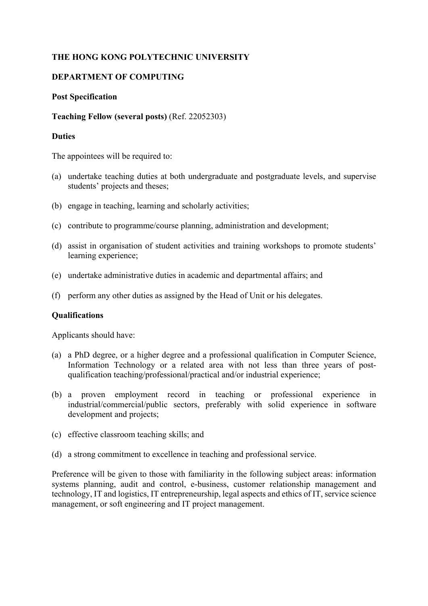# **THE HONG KONG POLYTECHNIC UNIVERSITY**

# **DEPARTMENT OF COMPUTING**

### **Post Specification**

### **Teaching Fellow (several posts)** (Ref. 22052303)

## **Duties**

The appointees will be required to:

- (a) undertake teaching duties at both undergraduate and postgraduate levels, and supervise students' projects and theses;
- (b) engage in teaching, learning and scholarly activities;
- (c) contribute to programme/course planning, administration and development;
- (d) assist in organisation of student activities and training workshops to promote students' learning experience;
- (e) undertake administrative duties in academic and departmental affairs; and
- (f) perform any other duties as assigned by the Head of Unit or his delegates.

#### **Qualifications**

Applicants should have:

- (a) a PhD degree, or a higher degree and a professional qualification in Computer Science, Information Technology or a related area with not less than three years of postqualification teaching/professional/practical and/or industrial experience;
- (b) a proven employment record in teaching or professional experience in industrial/commercial/public sectors, preferably with solid experience in software development and projects:
- (c) effective classroom teaching skills; and
- (d) a strong commitment to excellence in teaching and professional service.

Preference will be given to those with familiarity in the following subject areas: information systems planning, audit and control, e-business, customer relationship management and technology, IT and logistics, IT entrepreneurship, legal aspects and ethics of IT, service science management, or soft engineering and IT project management.